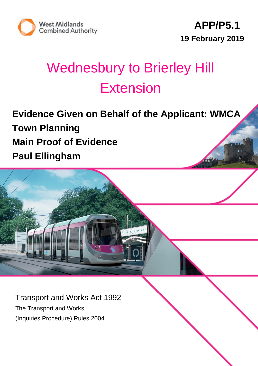



# Wednesbury to Brierley Hill Extension

**Evidence Given on Behalf of the Applicant: WMCA Town Planning Main Proof of Evidence Paul Ellingham**

Transport and Works Act 1992 The Transport and Works (Inquiries Procedure) Rules 2004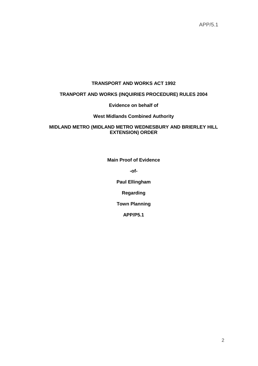### **TRANSPORT AND WORKS ACT 1992**

### **TRANPORT AND WORKS (INQUIRIES PROCEDURE) RULES 2004**

#### **Evidence on behalf of**

#### **West Midlands Combined Authority**

#### **MIDLAND METRO (MIDLAND METRO WEDNESBURY AND BRIERLEY HILL EXTENSION) ORDER**

**Main Proof of Evidence**

**-of-**

**Paul Ellingham**

**Regarding**

**Town Planning**

**APP/P5.1**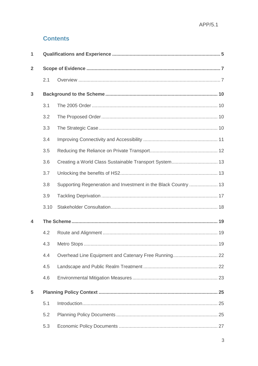### **Contents**

| 1            |      |                                                                 |    |
|--------------|------|-----------------------------------------------------------------|----|
| $\mathbf{2}$ |      |                                                                 |    |
|              | 2.1  |                                                                 |    |
| 3            |      |                                                                 |    |
|              | 3.1  |                                                                 |    |
|              | 3.2  |                                                                 |    |
|              | 3.3  |                                                                 |    |
|              | 3.4  |                                                                 |    |
|              | 3.5  |                                                                 |    |
|              | 3.6  |                                                                 |    |
|              | 3.7  |                                                                 |    |
|              | 3.8  | Supporting Regeneration and Investment in the Black Country  13 |    |
|              | 3.9  |                                                                 |    |
|              | 3.10 |                                                                 |    |
| 4            |      |                                                                 |    |
|              | 4.2  |                                                                 |    |
|              | 4.3  | <b>Metro Stops</b>                                              | 19 |
|              | 4.4  | Overhead Line Equipment and Catenary Free Running 22            |    |
|              | 4.5  |                                                                 |    |
|              | 4.6  |                                                                 |    |
| 5            |      |                                                                 |    |
|              | 5.1  |                                                                 |    |
|              | 5.2  |                                                                 |    |
|              | 5.3  |                                                                 |    |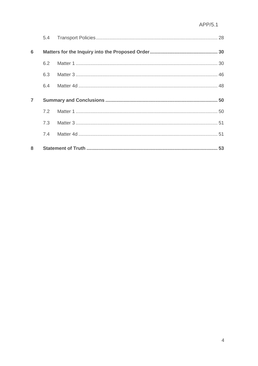| 6              |     |  |
|----------------|-----|--|
|                | 6.2 |  |
|                | 6.3 |  |
|                | 6.4 |  |
| $\overline{7}$ |     |  |
|                |     |  |
|                |     |  |
|                |     |  |
| 8              |     |  |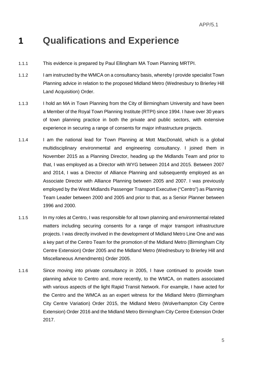## **1 Qualifications and Experience**

- 1.1.1 This evidence is prepared by Paul Ellingham MA Town Planning MRTPI.
- 1.1.2 I am instructed by the WMCA on a consultancy basis, whereby I provide specialist Town Planning advice in relation to the proposed Midland Metro (Wednesbury to Brierley Hill Land Acquisition) Order.
- 1.1.3 I hold an MA in Town Planning from the City of Birmingham University and have been a Member of the Royal Town Planning Institute (RTPI) since 1994. I have over 30 years of town planning practice in both the private and public sectors, with extensive experience in securing a range of consents for major infrastructure projects.
- 1.1.4 I am the national lead for Town Planning at Mott MacDonald, which is a global multidisciplinary environmental and engineering consultancy. I joined them in November 2015 as a Planning Director, heading up the Midlands Team and prior to that, I was employed as a Director with WYG between 2014 and 2015. Between 2007 and 2014, I was a Director of Alliance Planning and subsequently employed as an Associate Director with Alliance Planning between 2005 and 2007. I was previously employed by the West Midlands Passenger Transport Executive ("Centro") as Planning Team Leader between 2000 and 2005 and prior to that, as a Senior Planner between 1996 and 2000.
- 1.1.5 In my roles at Centro, I was responsible for all town planning and environmental related matters including securing consents for a range of major transport infrastructure projects. I was directly involved in the development of Midland Metro Line One and was a key part of the Centro Team for the promotion of the Midland Metro (Birmingham City Centre Extension) Order 2005 and the Midland Metro (Wednesbury to Brierley Hill and Miscellaneous Amendments) Order 2005.
- 1.1.6 Since moving into private consultancy in 2005, I have continued to provide town planning advice to Centro and, more recently, to the WMCA, on matters associated with various aspects of the light Rapid Transit Network. For example, I have acted for the Centro and the WMCA as an expert witness for the Midland Metro (Birmingham City Centre Variation) Order 2015, the Midland Metro (Wolverhampton City Centre Extension) Order 2016 and the Midland Metro Birmingham City Centre Extension Order 2017.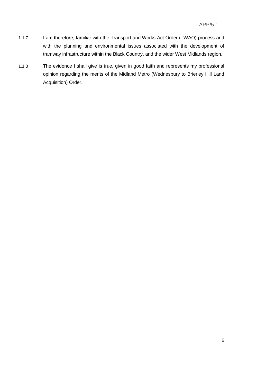- 1.1.7 I am therefore, familiar with the Transport and Works Act Order (TWAO) process and with the planning and environmental issues associated with the development of tramway infrastructure within the Black Country, and the wider West Midlands region.
- 1.1.8 The evidence I shall give is true, given in good faith and represents my professional opinion regarding the merits of the Midland Metro (Wednesbury to Brierley Hill Land Acquisition) Order.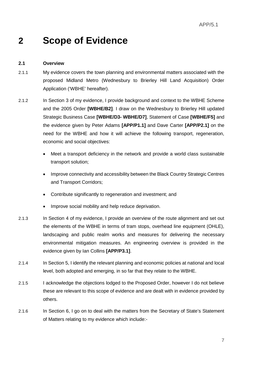# **2 Scope of Evidence**

#### **2.1 Overview**

- 2.1.1 My evidence covers the town planning and environmental matters associated with the proposed Midland Metro (Wednesbury to Brierley Hill Land Acquisition) Order Application ('WBHE' hereafter).
- 2.1.2 In Section 3 of my evidence, I provide background and context to the WBHE Scheme and the 2005 Order **[WBHE/B2]**. I draw on the Wednesbury to Brierley Hill updated Strategic Business Case **[WBHE/D3- WBHE/D7]**, Statement of Case **[WBHE/F5]** and the evidence given by Peter Adams **[APP/P1.1]** and Dave Carter **[APP/P2.1]** on the need for the WBHE and how it will achieve the following transport, regeneration, economic and social objectives:
	- Meet a transport deficiency in the network and provide a world class sustainable transport solution;
	- Improve connectivity and accessibility between the Black Country Strategic Centres and Transport Corridors;
	- Contribute significantly to regeneration and investment; and
	- Improve social mobility and help reduce deprivation.
- 2.1.3 In Section 4 of my evidence, I provide an overview of the route alignment and set out the elements of the WBHE in terms of tram stops, overhead line equipment (OHLE), landscaping and public realm works and measures for delivering the necessary environmental mitigation measures. An engineering overview is provided in the evidence given by Ian Collins **[APP/P3.1]**.
- 2.1.4 In Section 5, I identify the relevant planning and economic policies at national and local level, both adopted and emerging, in so far that they relate to the WBHE.
- 2.1.5 I acknowledge the objections lodged to the Proposed Order, however I do not believe these are relevant to this scope of evidence and are dealt with in evidence provided by others.
- 2.1.6 In Section 6, I go on to deal with the matters from the Secretary of State's Statement of Matters relating to my evidence which include:-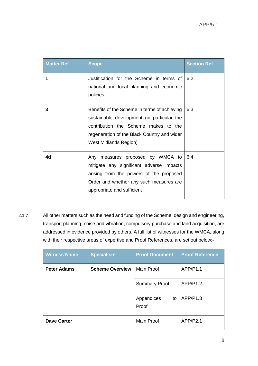| <b>Matter Ref</b> | <b>Scope</b>                                                                                                                                                                                                      | <b>Section Ref</b> |
|-------------------|-------------------------------------------------------------------------------------------------------------------------------------------------------------------------------------------------------------------|--------------------|
| 1                 | Justification for the Scheme in terms of<br>national and local planning and economic<br>policies                                                                                                                  | 6.2                |
| 3                 | Benefits of the Scheme in terms of achieving<br>sustainable development (in particular the<br>contribution the Scheme makes to the<br>regeneration of the Black Country and wider<br><b>West Midlands Region)</b> | 6.3                |
| 4d                | Any measures proposed by WMCA to<br>mitigate any significant adverse impacts<br>arising from the powers of the proposed<br>Order and whether any such measures are<br>appropriate and sufficient                  | 6.4                |

2.1.7 All other matters such as the need and funding of the Scheme, design and engineering, transport planning, noise and vibration, compulsory purchase and land acquisition, are addressed in evidence provided by others. A full list of witnesses for the WMCA, along with their respective areas of expertise and Proof References, are set out below:-

| <b>Witness Name</b> | <b>Specialism</b>      | <b>Proof Document</b>     | <b>Proof Reference</b> |
|---------------------|------------------------|---------------------------|------------------------|
| <b>Peter Adams</b>  | <b>Scheme Overview</b> | <b>Main Proof</b>         | APP/P1.1               |
|                     |                        | <b>Summary Proof</b>      | APP/P1.2               |
|                     |                        | Appendices<br>to<br>Proof | APP/P1.3               |
| <b>Dave Carter</b>  |                        | <b>Main Proof</b>         | APP/P2.1               |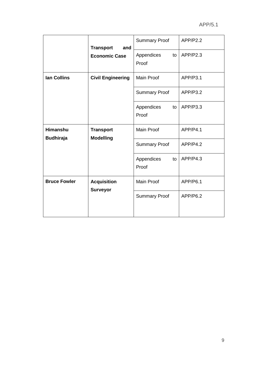|                                     | <b>Transport</b><br>and              | <b>Summary Proof</b>      | APP/P2.2 |
|-------------------------------------|--------------------------------------|---------------------------|----------|
|                                     | <b>Economic Case</b>                 | Appendices<br>to<br>Proof | APP/P2.3 |
| <b>Ian Collins</b>                  | <b>Civil Engineering</b>             | <b>Main Proof</b>         | APP/P3.1 |
|                                     |                                      | <b>Summary Proof</b>      | APP/P3.2 |
|                                     |                                      | Appendices<br>to<br>Proof | APP/P3.3 |
| <b>Himanshu</b><br><b>Budhiraja</b> | <b>Transport</b><br><b>Modelling</b> | <b>Main Proof</b>         | APP/P4.1 |
|                                     |                                      | <b>Summary Proof</b>      | APP/P4.2 |
|                                     |                                      | Appendices<br>to<br>Proof | APP/P4.3 |
| <b>Bruce Fowler</b>                 | <b>Acquisition</b>                   | <b>Main Proof</b>         | APP/P6.1 |
|                                     | <b>Surveyor</b>                      | <b>Summary Proof</b>      | APP/P6.2 |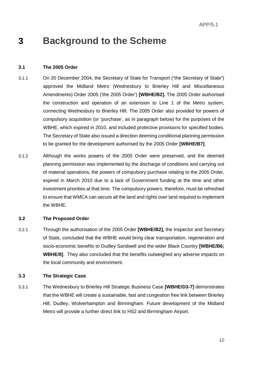# **3 Background to the Scheme**

#### **3.1 The 2005 Order**

- 3.1.1 On 20 December 2004, the Secretary of State for Transport ("the Secretary of State") approved the Midland Metro (Wednesbury to Brierley Hill and Miscellaneous Amendments) Order 2005 ('the 2005 Order') **[WBHE/B2].** The 2005 Order authorised the construction and operation of an extension to Line 1 of the Metro system, connecting Wednesbury to Brierley Hill. The 2005 Order also provided for powers of compulsory acquisition (or 'purchase', as in paragraph below) for the purposes of the WBHE, which expired in 2010, and included protective provisions for specified bodies. The Secretary of State also issued a direction deeming conditional planning permission to be granted for the development authorised by the 2005 Order **[WBHE/B7]**.
- 3.1.2 Although the works powers of the 2005 Order were preserved, and the deemed planning permission was implemented by the discharge of conditions and carrying out of material operations, the powers of compulsory purchase relating to the 2005 Order, expired in March 2010 due to a lack of Government funding at the time and other investment priorities at that time. The compulsory powers, therefore, must be refreshed to ensure that WMCA can secure all the land and rights over land required to implement the WBHE.

#### **3.2 The Proposed Order**

3.2.1 Through the authorisation of the 2005 Order **[WBHE/B2],** the Inspector and Secretary of State, concluded that the WBHE would bring clear transportation, regeneration and socio-economic benefits to Dudley Sandwell and the wider Black Country **[WBHE/B6; WBHE/8]**. They also concluded that the benefits outweighed any adverse impacts on the local community and environment.

#### **3.3 The Strategic Case**

3.3.1 The Wednesbury to Brierley Hill Strategic Business Case **[WBHE/D3-7]** demonstrates that the WBHE will create a sustainable, fast and congestion free link between Brierley Hill, Dudley, Wolverhampton and Birmingham. Future development of the Midland Metro will provide a further direct link to HS2 and Birmingham Airport.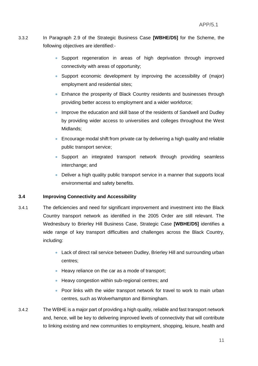- 3.3.2 In Paragraph 2.9 of the Strategic Business Case **[WBHE/D5]** for the Scheme, the following objectives are identified:-
	- Support regeneration in areas of high deprivation through improved connectivity with areas of opportunity;
	- Support economic development by improving the accessibility of (major) employment and residential sites;
	- Enhance the prosperity of Black Country residents and businesses through providing better access to employment and a wider workforce;
	- Improve the education and skill base of the residents of Sandwell and Dudley by providing wider access to universities and colleges throughout the West Midlands;
	- Encourage modal shift from private car by delivering a high quality and reliable public transport service;
	- Support an integrated transport network through providing seamless interchange; and
	- Deliver a high quality public transport service in a manner that supports local environmental and safety benefits.

#### **3.4 Improving Connectivity and Accessibility**

- 3.4.1 The deficiencies and need for significant improvement and investment into the Black Country transport network as identified in the 2005 Order are still relevant. The Wednesbury to Brierley Hill Business Case, Strategic Case **[WBHE/D5]** identifies a wide range of key transport difficulties and challenges across the Black Country, including:
	- Lack of direct rail service between Dudley, Brierley Hill and surrounding urban centres;
	- Heavy reliance on the car as a mode of transport;
	- Heavy congestion within sub-regional centres; and
	- Poor links with the wider transport network for travel to work to main urban centres, such as Wolverhampton and Birmingham.
- 3.4.2 The WBHE is a major part of providing a high quality, reliable and fast transport network and, hence, will be key to delivering improved levels of connectivity that will contribute to linking existing and new communities to employment, shopping, leisure, health and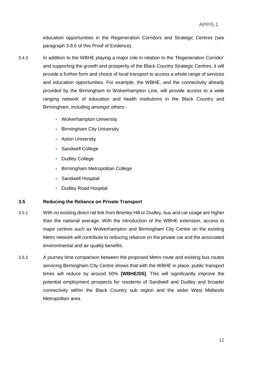education opportunities in the Regeneration Corridors and Strategic Centres (see paragraph 3.8.5 of this Proof of Evidence).

- 3.4.3 In addition to the WBHE playing a major role in relation to the 'Regeneration Corridor' and supporting the growth and prosperity of the Black Country Strategic Centres, it will provide a further form and choice of local transport to access a whole range of services and education opportunities. For example, the WBHE, and the connectivity already provided by the Birmingham to Wolverhampton Line, will provide access to a wide ranging network of education and health institutions in the Black Country and Birmingham, including amongst others:-
	- Wolverhampton University
	- Birmingham City University
	- **Aston University**
	- Sandwell College
	- Dudley College
	- Birmingham Metropolitan College
	- **Sandwell Hospital**
	- Dudley Road Hospital

#### **3.5 Reducing the Reliance on Private Transport**

- 3.5.1 With no existing direct rail link from Brierley Hill or Dudley, bus and car usage are higher than the national average. With the introduction of the WBHE extension, access to major centres such as Wolverhampton and Birmingham City Centre on the existing Metro network will contribute to reducing reliance on the private car and the associated environmental and air quality benefits.
- 3.5.2 A journey time comparison between the proposed Metro route and existing bus routes servicing Birmingham City Centre shows that with the WBHE in place, public transport times will reduce by around 50% **[WBHE/D5]**. This will significantly improve the potential employment prospects for residents of Sandwell and Dudley and broader connectivity within the Black Country sub region and the wider West Midlands Metropolitan area.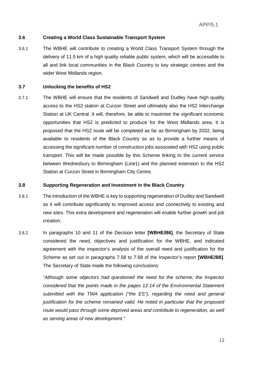#### **3.6 Creating a World Class Sustainable Transport System**

3.6.1 The WBHE will contribute to creating a World Class Transport System through the delivery of 11.5 km of a high quality reliable public system, which will be accessible to all and link local communities in the Black Country to key strategic centres and the wider West Midlands region.

#### **3.7 Unlocking the benefits of HS2**

3.7.1 The WBHE will ensure that the residents of Sandwell and Dudley have high quality access to the HS2 station at Curzon Street and ultimately also the HS2 Interchange Station at UK Central. It will, therefore, be able to maximise the significant economic opportunities that HS2 is predicted to produce for the West Midlands area. It is proposed that the HS2 route will be completed as far as Birmingham by 2032, being available to residents of the Black Country so as to provide a further means of accessing the significant number of construction jobs associated with HS2 using public transport. This will be made possible by this Scheme linking to the current service between Wednesbury to Birmingham (Line1) and the planned extension to the HS2 Station at Curzon Street in Birmingham City Centre.

#### **3.8 Supporting Regeneration and Investment in the Black Country**

- 3.8.1 The introduction of the WBHE is key to supporting regeneration of Dudley and Sandwell as it will contribute significantly to improved access and connectivity to existing and new sites. This extra development and regeneration will enable further growth and job creation.
- 3.8.2 In paragraphs 10 and 11 of the Decision letter **[WBHE/B6]**, the Secretary of State considered the need, objectives and justification for the WBHE, and indicated agreement with the inspector's analysis of the overall need and justification for the Scheme as set out in paragraphs 7.58 to 7.68 of the Inspector's report **[WBHE/B8]**. The Secretary of State made the following conclusions:

"*Although some objectors had questioned the need for the scheme, the Inspector considered that the points made in the pages 12-14 of the Environmental Statement submitted with the TWA application ("the ES"), regarding the need and general justification for the scheme remained valid. He noted in particular that the proposed route would pass through some deprived areas and contribute to regeneration, as well as serving areas of new development."*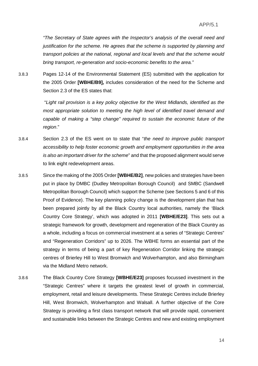*"The Secretary of State agrees with the Inspector's analysis of the overall need and justification for the scheme. He agrees that the scheme is supported by planning and transport policies at the national, regional and local levels and that the scheme would bring transport, re-generation and socio-economic benefits to the area."*

3.8.3 Pages 12-14 of the Environmental Statement (ES) submitted with the application for the 2005 Order **[WBHE/B9],** includes consideration of the need for the Scheme and Section 2.3 of the ES states that:

> "*Light rail provision is a key policy objective for the West Midlands, identified as the most appropriate solution to meeting the high level of identified travel demand and capable of making a "step change" required to sustain the economic future of the region*."

- 3.8.4 Section 2.3 of the ES went on to state that "*the need to improve public transport accessibility to help foster economic growth and employment opportunities in the area is also an important driver for the scheme*" and that the proposed alignment would serve to link eight redevelopment areas.
- 3.8.5 Since the making of the 2005 Order **[WBHE/B2]**, new policies and strategies have been put in place by DMBC (Dudley Metropolitan Borough Council) and SMBC (Sandwell Metropolitan Borough Council) which support the Scheme (see Sections 5 and 6 of this Proof of Evidence). The key planning policy change is the development plan that has been prepared jointly by all the Black Country local authorities, namely the 'Black Country Core Strategy', which was adopted in 2011 **[WBHE/E23]**. This sets out a strategic framework for growth, development and regeneration of the Black Country as a whole, including a focus on commercial investment at a series of "Strategic Centres" and "Regeneration Corridors" up to 2026. The WBHE forms an essential part of the strategy in terms of being a part of key Regeneration Corridor linking the strategic centres of Brierley Hill to West Bromwich and Wolverhampton, and also Birmingham via the Midland Metro network.
- 3.8.6 The Black Country Core Strategy **[WBHE/E23]** proposes focussed investment in the "Strategic Centres" where it targets the greatest level of growth in commercial, employment, retail and leisure developments. These Strategic Centres include Brierley Hill, West Bromwich, Wolverhampton and Walsall. A further objective of the Core Strategy is providing a first class transport network that will provide rapid, convenient and sustainable links between the Strategic Centres and new and existing employment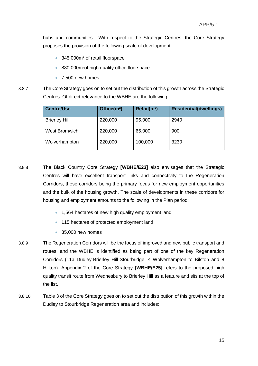hubs and communities. With respect to the Strategic Centres, the Core Strategy proposes the provision of the following scale of development:-

- 345,000m<sup>2</sup> of retail floorspace
- 880,000m<sup>2</sup> of high quality office floorspace
- 7,500 new homes
- 3.8.7 The Core Strategy goes on to set out the distribution of this growth across the Strategic Centres. Of direct relevance to the WBHE are the following:

| <b>Centre/Use</b>    | Office $(m2)$ | Retail(m <sup>2</sup> ) | <b>Residential(dwellings)</b> |
|----------------------|---------------|-------------------------|-------------------------------|
| <b>Brierley Hill</b> | 220,000       | 95,000                  | 2940                          |
| West Bromwich        | 220,000       | 65,000                  | 900                           |
| Wolverhampton        | 220,000       | 100,000                 | 3230                          |

- 3.8.8 The Black Country Core Strategy **[WBHE/E23]** also envisages that the Strategic Centres will have excellent transport links and connectivity to the Regeneration Corridors, these corridors being the primary focus for new employment opportunities and the bulk of the housing growth. The scale of developments in these corridors for housing and employment amounts to the following in the Plan period:
	- 1,564 hectares of new high quality employment land
	- 115 hectares of protected employment land
	- 35,000 new homes
- 3.8.9 The Regeneration Corridors will be the focus of improved and new public transport and routes, and the WBHE is identified as being part of one of the key Regeneration Corridors (11a Dudley-Brierley Hill-Stourbridge, 4 Wolverhampton to Bilston and 8 Hilltop). Appendix 2 of the Core Strategy **[WBHE/E25]** refers to the proposed high quality transit route from Wednesbury to Brierley Hill as a feature and sits at the top of the list.
- 3.8.10 Table 3 of the Core Strategy goes on to set out the distribution of this growth within the Dudley to Stourbridge Regeneration area and includes: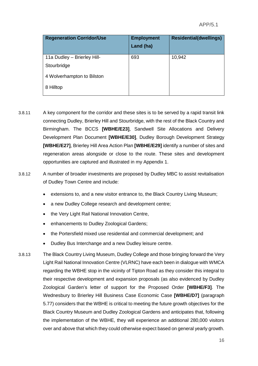| <b>Regeneration Corridor/Use</b> | <b>Employment</b><br>Land (ha) | <b>Residential(dwellings)</b> |
|----------------------------------|--------------------------------|-------------------------------|
| 11a Dudley - Brierley Hill-      | 693                            | 10,942                        |
| Stourbridge                      |                                |                               |
| 4 Wolverhampton to Bilston       |                                |                               |
| 8 Hilltop                        |                                |                               |

- 3.8.11 A key component for the corridor and these sites is to be served by a rapid transit link connecting Dudley, Brierley Hill and Stourbridge, with the rest of the Black Country and Birmingham. The BCCS **[WBHE/E23]**, Sandwell Site Allocations and Delivery Development Plan Document **[WBHE/E30]**, Dudley Borough Development Strategy **[WBHE/E27]**, Brierley Hill Area Action Plan **[WBHE/E29]** identify a number of sites and regeneration areas alongside or close to the route. These sites and development opportunities are captured and illustrated in my Appendix 1.
- 3.8.12 A number of broader investments are proposed by Dudley MBC to assist revitalisation of Dudley Town Centre and include:
	- extensions to, and a new visitor entrance to, the Black Country Living Museum;
	- a new Dudley College research and development centre;
	- the Very Light Rail National Innovation Centre,
	- enhancements to Dudley Zoological Gardens;
	- the Portersfield mixed use residential and commercial development; and
	- Dudley Bus Interchange and a new Dudley leisure centre.
- 3.8.13 The Black Country Living Museum, Dudley College and those bringing forward the Very Light Rail National Innovation Centre (VLRNC) have each been in dialogue with WMCA regarding the WBHE stop in the vicinity of Tipton Road as they consider this integral to their respective development and expansion proposals (as also evidenced by Dudley Zoological Garden's letter of support for the Proposed Order **[WBHE/F3]**. The Wednesbury to Brierley Hill Business Case Economic Case **[WBHE/D7]** (paragraph 5.77) considers that the WBHE is critical to meeting the future growth objectives for the Black Country Museum and Dudley Zoological Gardens and anticipates that, following the implementation of the WBHE, they will experience an additional 280,000 visitors over and above that which they could otherwise expect based on general yearly growth.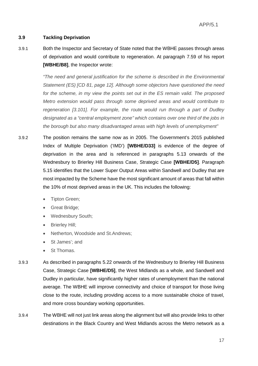#### **3.9 Tackling Deprivation**

3.9.1 Both the Inspector and Secretary of State noted that the WBHE passes through areas of deprivation and would contribute to regeneration. At paragraph 7.59 of his report **[WBHE/B8]**, the Inspector wrote:

> *"The need and general justification for the scheme is described in the Environmental Statement (ES) [CD 81, page 12]. Although some objectors have questioned the need for the scheme, in my view the points set out in the ES remain valid. The proposed Metro extension would pass through some deprived areas and would contribute to regeneration [3.101]. For example, the route would run through a part of Dudley designated as a "central employment zone" which contains over one third of the jobs in the borough but also many disadvantaged areas with high levels of unemployment"*

- 3.9.2 The position remains the same now as in 2005. The Government's 2015 published Index of Multiple Deprivation ('IMD') **[WBHE/D33]** is evidence of the degree of deprivation in the area and is referenced in paragraphs 5.13 onwards of the Wednesbury to Brierley Hill Business Case, Strategic Case **[WBHE/D5]**. Paragraph 5.15 identifies that the Lower Super Output Areas within Sandwell and Dudley that are most impacted by the Scheme have the most significant amount of areas that fall within the 10% of most deprived areas in the UK. This includes the following:
	- Tipton Green;
	- Great Bridge;
	- Wednesbury South;
	- Brierley Hill;
	- Netherton, Woodside and St.Andrews;
	- St James'; and
	- St Thomas.
- 3.9.3 As described in paragraphs 5.22 onwards of the Wednesbury to Brierley Hill Business Case, Strategic Case **[WBHE/D5]**, the West Midlands as a whole, and Sandwell and Dudley in particular, have significantly higher rates of unemployment than the national average. The WBHE will improve connectivity and choice of transport for those living close to the route, including providing access to a more sustainable choice of travel, and more cross boundary working opportunities.
- 3.9.4 The WBHE will not just link areas along the alignment but will also provide links to other destinations in the Black Country and West Midlands across the Metro network as a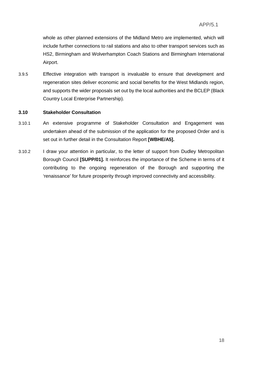whole as other planned extensions of the Midland Metro are implemented, which will include further connections to rail stations and also to other transport services such as HS2, Birmingham and Wolverhampton Coach Stations and Birmingham International Airport.

3.9.5 Effective integration with transport is invaluable to ensure that development and regeneration sites deliver economic and social benefits for the West Midlands region, and supports the wider proposals set out by the local authorities and the BCLEP (Black Country Local Enterprise Partnership).

#### **3.10 Stakeholder Consultation**

- 3.10.1 An extensive programme of Stakeholder Consultation and Engagement was undertaken ahead of the submission of the application for the proposed Order and is set out in further detail in the Consultation Report **[WBHE/A5].**
- 3.10.2 I draw your attention in particular, to the letter of support from Dudley Metropolitan Borough Council **[SUPP/01].** It reinforces the importance of the Scheme in terms of it contributing to the ongoing regeneration of the Borough and supporting the 'renaissance' for future prosperity through improved connectivity and accessibility.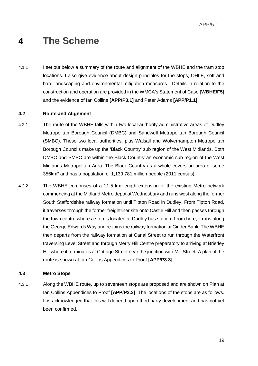# **4 The Scheme**

4.1.1 I set out below a summary of the route and alignment of the WBHE and the tram stop locations. I also give evidence about design principles for the stops, OHLE, soft and hard landscaping and environmental mitigation measures. Details in relation to the construction and operation are provided in the WMCA's Statement of Case **[WBHE/F5]** and the evidence of Ian Collins **[APP/P3.1]** and Peter Adams **[APP/P1.1]**.

#### **4.2 Route and Alignment**

- 4.2.1 The route of the WBHE falls within two local authority administrative areas of Dudley Metropolitan Borough Council (DMBC) and Sandwell Metropolitan Borough Council (SMBC). These two local authorities, plus Walsall and Wolverhampton Metropolitan Borough Councils make up the 'Black Country' sub region of the West Midlands. Both DMBC and SMBC are within the Black Country an economic sub-region of the West Midlands Metropolitan Area. The Black Country as a whole covers an area of some 356km² and has a population of 1,139,781 million people (2011 census).
- 4.2.2 The WBHE comprises of a 11.5 km length extension of the existing Metro network commencing at the Midland Metro depot at Wednesbury and runs west along the former South Staffordshire railway formation until Tipton Road in Dudley. From Tipton Road, it traverses through the former freightliner site onto Castle Hill and then passes through the town centre where a stop is located at Dudley bus station. From here, it runs along the George Edwards Way and re-joins the railway formation at Cinder Bank. The WBHE then departs from the railway formation at Canal Street to run through the Waterfront traversing Level Street and through Merry Hill Centre preparatory to arriving at Brierley Hill where it terminates at Cottage Street near the junction with Mill Street. A plan of the route is shown at Ian Collins Appendices to Proof **[APP/P3.3]**.

#### **4.3 Metro Stops**

4.3.1 Along the WBHE route, up to seventeen stops are proposed and are shown on Plan at Ian Collins Appendices to Proof **[APP/P3.3]**. The locations of the stops are as follows. It is acknowledged that this will depend upon third party development and has not yet been confirmed.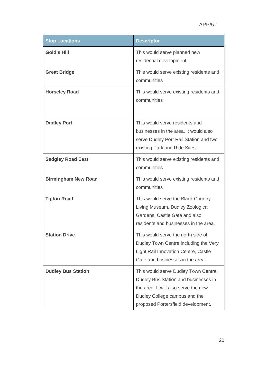| <b>Stop Locations</b>      | <b>Descriptor</b>                                                                                                                                                                           |
|----------------------------|---------------------------------------------------------------------------------------------------------------------------------------------------------------------------------------------|
| <b>Gold's Hill</b>         | This would serve planned new<br>residential development                                                                                                                                     |
| <b>Great Bridge</b>        | This would serve existing residents and<br>communities                                                                                                                                      |
| <b>Horseley Road</b>       | This would serve existing residents and<br>communities                                                                                                                                      |
| <b>Dudley Port</b>         | This would serve residents and<br>businesses in the area. It would also<br>serve Dudley Port Rail Station and two<br>existing Park and Ride Sites.                                          |
| <b>Sedgley Road East</b>   | This would serve existing residents and<br>communities                                                                                                                                      |
| <b>Birmingham New Road</b> | This would serve existing residents and<br>communities                                                                                                                                      |
| <b>Tipton Road</b>         | This would serve the Black Country<br>Living Museum, Dudley Zoological<br>Gardens, Castle Gate and also<br>residents and businesses in the area.                                            |
| <b>Station Drive</b>       | This would serve the north side of<br>Dudley Town Centre including the Very<br>Light Rail Innovation Centre, Castle<br>Gate and businesses in the area.                                     |
| <b>Dudley Bus Station</b>  | This would serve Dudley Town Centre,<br>Dudley Bus Station and businesses in<br>the area. It will also serve the new<br>Dudley College campus and the<br>proposed Portersfield development. |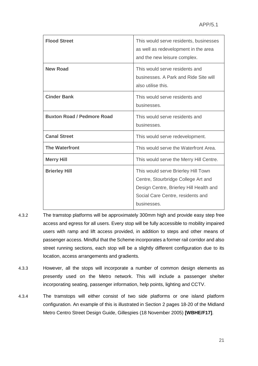| <b>Flood Street</b>               | This would serve residents, businesses<br>as well as redevelopment in the area<br>and the new leisure complex.                                                            |
|-----------------------------------|---------------------------------------------------------------------------------------------------------------------------------------------------------------------------|
| <b>New Road</b>                   | This would serve residents and<br>businesses. A Park and Ride Site will<br>also utilise this.                                                                             |
| <b>Cinder Bank</b>                | This would serve residents and<br>businesses.                                                                                                                             |
| <b>Buxton Road / Pedmore Road</b> | This would serve residents and<br>businesses.                                                                                                                             |
| <b>Canal Street</b>               | This would serve redevelopment.                                                                                                                                           |
| <b>The Waterfront</b>             | This would serve the Waterfront Area.                                                                                                                                     |
| <b>Merry Hill</b>                 | This would serve the Merry Hill Centre.                                                                                                                                   |
| <b>Brierley Hill</b>              | This would serve Brierley Hill Town<br>Centre, Stourbridge College Art and<br>Design Centre, Brierley Hill Health and<br>Social Care Centre, residents and<br>businesses. |

- 4.3.2 The tramstop platforms will be approximately 300mm high and provide easy step free access and egress for all users. Every stop will be fully accessible to mobility impaired users with ramp and lift access provided, in addition to steps and other means of passenger access. Mindful that the Scheme incorporates a former rail corridor and also street running sections, each stop will be a slightly different configuration due to its location, access arrangements and gradients.
- 4.3.3 However, all the stops will incorporate a number of common design elements as presently used on the Metro network. This will include a passenger shelter incorporating seating, passenger information, help points, lighting and CCTV.
- 4.3.4 The tramstops will either consist of two side platforms or one island platform configuration. An example of this is illustrated in Section 2 pages 18-20 of the Midland Metro Centro Street Design Guide, Gillespies (18 November 2005) **[WBHE/F17]**.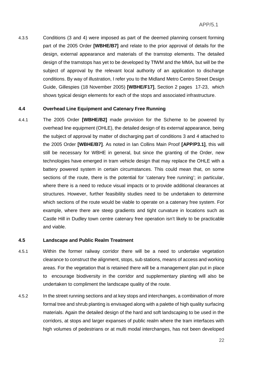4.3.5 Conditions (3 and 4) were imposed as part of the deemed planning consent forming part of the 2005 Order **[WBHE/B7]** and relate to the prior approval of details for the design, external appearance and materials of the tramstop elements. The detailed design of the tramstops has yet to be developed by TfWM and the MMA, but will be the subject of approval by the relevant local authority of an application to discharge conditions. By way of illustration, I refer you to the Midland Metro Centro Street Design Guide, Gillespies (18 November 2005) **[WBHE/F17]**, Section 2 pages 17-23, which shows typical design elements for each of the stops and associated infrastructure.

#### **4.4 Overhead Line Equipment and Catenary Free Running**

4.4.1 The 2005 Order **[WBHE/B2]** made provision for the Scheme to be powered by overhead line equipment (OHLE), the detailed design of its external appearance, being the subject of approval by matter of discharging part of conditions 3 and 4 attached to the 2005 Order **[WBHE/B7]**. As noted in Ian Collins Main Proof **[APP/P3.1]**, this will still be necessary for WBHE in general, but since the granting of the Order, new technologies have emerged in tram vehicle design that may replace the OHLE with a battery powered system in certain circumstances. This could mean that, on some sections of the route, there is the potential for 'catenary free running'; in particular, where there is a need to reduce visual impacts or to provide additional clearances at structures. However, further feasibility studies need to be undertaken to determine which sections of the route would be viable to operate on a catenary free system. For example, where there are steep gradients and tight curvature in locations such as Castle Hill in Dudley town centre catenary free operation isn't likely to be practicable and viable.

#### **4.5 Landscape and Public Realm Treatment**

- 4.5.1 Within the former railway corridor there will be a need to undertake vegetation clearance to construct the alignment, stops, sub stations, means of access and working areas. For the vegetation that is retained there will be a management plan put in place to encourage biodiversity in the corridor and supplementary planting will also be undertaken to compliment the landscape quality of the route.
- 4.5.2 In the street running sections and at key stops and interchanges, a combination of more formal tree and shrub planting is envisaged along with a palette of high quality surfacing materials. Again the detailed design of the hard and soft landscaping to be used in the corridors, at stops and larger expanses of public realm where the tram interfaces with high volumes of pedestrians or at multi modal interchanges, has not been developed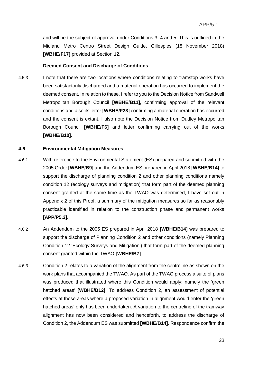and will be the subject of approval under Conditions 3, 4 and 5. This is outlined in the Midland Metro Centro Street Design Guide, Gillespies (18 November 2018) **[WBHE/F17]** provided at Section 12.

#### **Deemed Consent and Discharge of Conditions**

4.5.3 I note that there are two locations where conditions relating to tramstop works have been satisfactorily discharged and a material operation has occurred to implement the deemed consent. In relation to these, I refer to you to the Decision Notice from Sandwell Metropolitan Borough Council **[WBHE/B11],** confirming approval of the relevant conditions and also its letter **[WBHE/F23]** confirming a material operation has occurred and the consent is extant. I also note the Decision Notice from Dudley Metropolitan Borough Council **[WBHE/F6]** and letter confirming carrying out of the works **[WBHE/B10]**.

#### **4.6 Environmental Mitigation Measures**

- 4.6.1 With reference to the Environmental Statement (ES) prepared and submitted with the 2005 Order **[WBHE/B9]** and the Addendum ES prepared in April 2018 **[WBHE/B14]** to support the discharge of planning condition 2 and other planning conditions namely condition 12 (ecology surveys and mitigation) that form part of the deemed planning consent granted at the same time as the TWAO was determined, I have set out in Appendix 2 of this Proof, a summary of the mitigation measures so far as reasonably practicable identified in relation to the construction phase and permanent works **[APP/P5.3].**
- 4.6.2 An Addendum to the 2005 ES prepared in April 2018 **[WBHE/B14]** was prepared to support the discharge of Planning Condition 2 and other conditions (namely Planning Condition 12 'Ecology Surveys and Mitigation') that form part of the deemed planning consent granted within the TWAO **[WBHE/B7]**.
- 4.6.3 Condition 2 relates to a variation of the alignment from the centreline as shown on the work plans that accompanied the TWAO. As part of the TWAO process a suite of plans was produced that illustrated where this Condition would apply; namely the 'green hatched areas' **[WBHE/B12]**. To address Condition 2, an assessment of potential effects at those areas where a proposed variation in alignment would enter the 'green hatched areas' only has been undertaken. A variation to the centreline of the tramway alignment has now been considered and henceforth, to address the discharge of Condition 2, the Addendum ES was submitted **[WBHE/B14]**. Respondence confirm the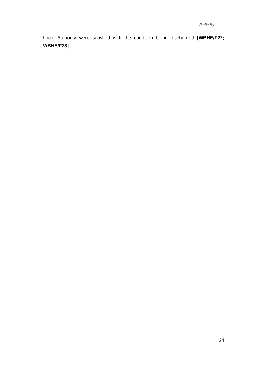Local Authority were satisfied with the condition being discharged **[WBHE/F22; WBHE/F23]**.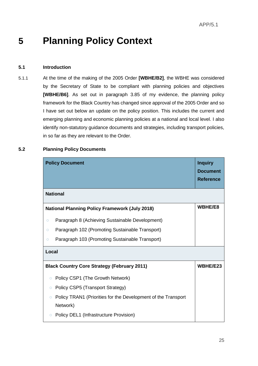# **5 Planning Policy Context**

#### **5.1 Introduction**

5.1.1 At the time of the making of the 2005 Order **[WBHE/B2]**, the WBHE was considered by the Secretary of State to be compliant with planning policies and objectives **[WBHE/B6]**. As set out in paragraph 3.85 of my evidence, the planning policy framework for the Black Country has changed since approval of the 2005 Order and so I have set out below an update on the policy position. This includes the current and emerging planning and economic planning policies at a national and local level. I also identify non-statutory guidance documents and strategies, including transport policies, in so far as they are relevant to the Order.

| <b>Policy Document</b>                                                               | <b>Inquiry</b><br><b>Document</b><br><b>Reference</b> |
|--------------------------------------------------------------------------------------|-------------------------------------------------------|
| <b>National</b>                                                                      |                                                       |
| <b>National Planning Policy Framework (July 2018)</b>                                | WBHE/E8                                               |
| Paragraph 8 (Achieving Sustainable Development)<br>$\circ$                           |                                                       |
| Paragraph 102 (Promoting Sustainable Transport)<br>$\circ$                           |                                                       |
| Paragraph 103 (Promoting Sustainable Transport)<br>$\circ$                           |                                                       |
| Local                                                                                |                                                       |
| <b>Black Country Core Strategy (February 2011)</b>                                   | WBHE/E23                                              |
| Policy CSP1 (The Growth Network)<br>$\circ$                                          |                                                       |
| Policy CSP5 (Transport Strategy)<br>$\circ$                                          |                                                       |
| Policy TRAN1 (Priorities for the Development of the Transport<br>$\circ$<br>Network) |                                                       |
| Policy DEL1 (Infrastructure Provision)<br>$\circ$                                    |                                                       |

#### **5.2 Planning Policy Documents**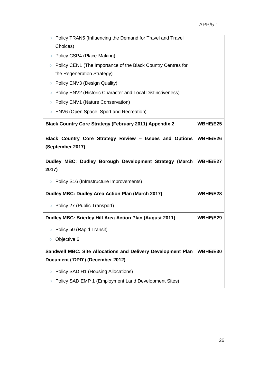| Policy TRAN5 (Influencing the Demand for Travel and Travel<br>$\circ$   |          |
|-------------------------------------------------------------------------|----------|
| Choices)                                                                |          |
| Policy CSP4 (Place-Making)<br>$\circ$                                   |          |
| Policy CEN1 (The Importance of the Black Country Centres for<br>$\circ$ |          |
| the Regeneration Strategy)                                              |          |
| Policy ENV3 (Design Quality)<br>$\bigcirc$                              |          |
| Policy ENV2 (Historic Character and Local Distinctiveness)<br>Ο.        |          |
| Policy ENV1 (Nature Conservation)<br>$\circ$                            |          |
| ENV6 (Open Space, Sport and Recreation)<br>$\circ$                      |          |
| <b>Black Country Core Strategy (February 2011) Appendix 2</b>           | WBHE/E25 |
| Black Country Core Strategy Review - Issues and Options                 | WBHE/E26 |
| (September 2017)                                                        |          |
|                                                                         |          |
| Dudley MBC: Dudley Borough Development Strategy (March                  | WBHE/E27 |
| 2017)                                                                   |          |
| ○ Policy S16 (Infrastructure Improvements)                              |          |
| Dudley MBC: Dudley Area Action Plan (March 2017)                        | WBHE/E28 |
| • Policy 27 (Public Transport)                                          |          |
| Dudley MBC: Brierley Hill Area Action Plan (August 2011)                | WBHE/E29 |
| Policy 50 (Rapid Transit)                                               |          |
| Objective 6<br>$\circ$                                                  |          |
| Sandwell MBC: Site Allocations and Delivery Development Plan            | WBHE/E30 |
| Document ('DPD') (December 2012)                                        |          |
| Policy SAD H1 (Housing Allocations)<br>О                                |          |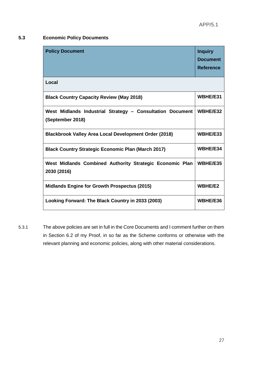### **5.3 Economic Policy Documents**

| <b>Policy Document</b>                                                        | <b>Inquiry</b><br><b>Document</b><br><b>Reference</b> |
|-------------------------------------------------------------------------------|-------------------------------------------------------|
| Local                                                                         |                                                       |
| <b>Black Country Capacity Review (May 2018)</b>                               | WBHE/E31                                              |
| West Midlands Industrial Strategy - Consultation Document<br>(September 2018) | WBHE/E32                                              |
| <b>Blackbrook Valley Area Local Development Order (2018)</b>                  | WBHE/E33                                              |
| <b>Black Country Strategic Economic Plan (March 2017)</b>                     | WBHE/E34                                              |
| West Midlands Combined Authority Strategic Economic Plan<br>2030 (2016)       | WBHE/E35                                              |
| <b>Midlands Engine for Growth Prospectus (2015)</b>                           | <b>WBHE/E2</b>                                        |
| Looking Forward: The Black Country in 2033 (2003)                             | WBHE/E36                                              |

5.3.1 The above policies are set in full in the Core Documents and I comment further on them in Section 6.2 of my Proof, in so far as the Scheme conforms or otherwise with the relevant planning and economic policies, along with other material considerations.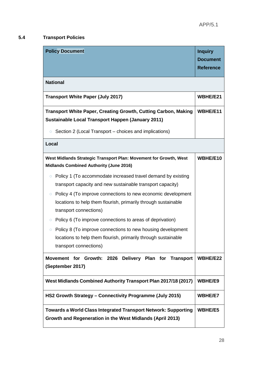### **5.4 Transport Policies**

| <b>Policy Document</b>                                                                                                                                                 | <b>Inquiry</b><br><b>Document</b><br><b>Reference</b> |  |  |
|------------------------------------------------------------------------------------------------------------------------------------------------------------------------|-------------------------------------------------------|--|--|
| <b>National</b>                                                                                                                                                        |                                                       |  |  |
| <b>Transport White Paper (July 2017)</b>                                                                                                                               | WBHE/E21                                              |  |  |
| Transport White Paper, Creating Growth, Cutting Carbon, Making                                                                                                         | WBHE/E11                                              |  |  |
| Sustainable Local Transport Happen (January 2011)                                                                                                                      |                                                       |  |  |
| Section 2 (Local Transport - choices and implications)<br>$\circ$                                                                                                      |                                                       |  |  |
| Local                                                                                                                                                                  |                                                       |  |  |
| West Midlands Strategic Transport Plan: Movement for Growth, West<br><b>Midlands Combined Authority (June 2016)</b>                                                    | WBHE/E10                                              |  |  |
| • Policy 1 (To accommodate increased travel demand by existing<br>transport capacity and new sustainable transport capacity)                                           |                                                       |  |  |
| Policy 4 (To improve connections to new economic development<br>$\bigcirc$<br>locations to help them flourish, primarily through sustainable<br>transport connections) |                                                       |  |  |
| Policy 6 (To improve connections to areas of deprivation)<br>$\circ$                                                                                                   |                                                       |  |  |
| Policy 8 (To improve connections to new housing development<br>$\bigcirc$<br>locations to help them flourish, primarily through sustainable<br>transport connections)  |                                                       |  |  |
| Movement for Growth: 2026 Delivery Plan for Transport<br>(September 2017)                                                                                              | WBHE/E22                                              |  |  |
| West Midlands Combined Authority Transport Plan 2017/18 (2017)                                                                                                         | <b>WBHE/E9</b>                                        |  |  |
| HS2 Growth Strategy - Connectivity Programme (July 2015)                                                                                                               | <b>WBHE/E7</b>                                        |  |  |
| <b>Towards a World Class Integrated Transport Network: Supporting</b><br>Growth and Regeneration in the West Midlands (April 2013)                                     | WBHE/E5                                               |  |  |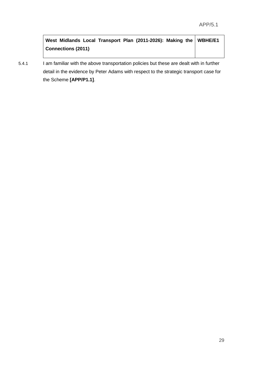**West Midlands Local Transport Plan (2011-2026): Making the Connections (2011) WBHE/E1**

5.4.1 I am familiar with the above transportation policies but these are dealt with in further detail in the evidence by Peter Adams with respect to the strategic transport case for the Scheme **[APP/P1.1]**.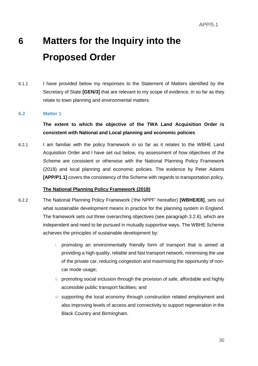# **6 Matters for the Inquiry into the Proposed Order**

6.1.1 I have provided below my responses to the Statement of Matters identified by the Secretary of State **[GEN/3]** that are relevant to my scope of evidence, in so far as they relate to town planning and environmental matters.

#### **6.2 Matter 1**

### **The extent to which the objective of the TWA Land Acquisition Order is consistent with National and Local planning and economic policies**

6.2.1 I am familiar with the policy framework in so far as it relates to the WBHE Land Acquisition Order and I have set out below, my assessment of how objectives of the Scheme are consistent or otherwise with the National Planning Policy Framework (2018) and local planning and economic policies. The evidence by Peter Adams **[APP/P1.1]** covers the consistency of the Scheme with regards to transportation policy.

#### **The National Planning Policy Framework (2018)**

- 6.2.2 The National Planning Policy Framework ('the NPPF' hereafter) **[WBHE/E8]**, sets out what sustainable development means in practice for the planning system in England. The framework sets out three overarching objectives (see paragraph 3.2.6), which are independent and need to be pursued in mutually supportive ways. The WBHE Scheme achieves the principles of sustainable development by:
	- i. promoting an environmentally friendly form of transport that is aimed at providing a high quality, reliable and fast transport network, minimising the use of the private car, reducing congestion and maximising the opportunity of noncar mode usage;
	- ii. promoting social inclusion through the provision of safe, affordable and highly accessible public transport facilities; and
	- iii. supporting the local economy through construction related employment and also improving levels of access and connectivity to support regeneration in the Black Country and Birmingham.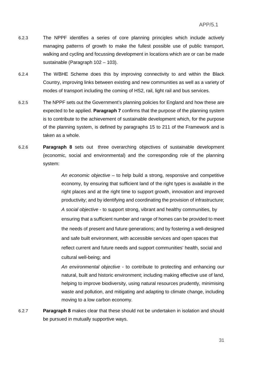- 6.2.3 The NPPF identifies a series of core planning principles which include actively managing patterns of growth to make the fullest possible use of public transport, walking and cycling and focussing development in locations which are or can be made sustainable (Paragraph 102 – 103).
- 6.2.4 The WBHE Scheme does this by improving connectivity to and within the Black Country, improving links between existing and new communities as well as a variety of modes of transport including the coming of HS2, rail, light rail and bus services.
- 6.2.5 The NPPF sets out the Government's planning policies for England and how these are expected to be applied. **Paragraph 7** confirms that the purpose of the planning system is to contribute to the achievement of sustainable development which, for the purpose of the planning system, is defined by paragraphs 15 to 211 of the Framework and is taken as a whole.
- 6.2.6 **Paragraph 8** sets out three overarching objectives of sustainable development (economic, social and environmental) and the corresponding role of the planning system:

*An economic objective* – to help build a strong, responsive and competitive economy, by ensuring that sufficient land of the right types is available in the right places and at the right time to support growth, innovation and improved productivity; and by identifying and coordinating the provision of infrastructure; *A social objective* - to support strong, vibrant and healthy communities, by ensuring that a sufficient number and range of homes can be provided to meet the needs of present and future generations; and by fostering a well-designed and safe built environment, with accessible services and open spaces that reflect current and future needs and support communities' health, social and cultural well-being; and

*An environmental objective* - to contribute to protecting and enhancing our natural, built and historic environment; including making effective use of land, helping to improve biodiversity, using natural resources prudently, minimising waste and pollution, and mitigating and adapting to climate change, including moving to a low carbon economy.

6.2.7 **Paragraph 8** makes clear that these should not be undertaken in isolation and should be pursued in mutually supportive ways.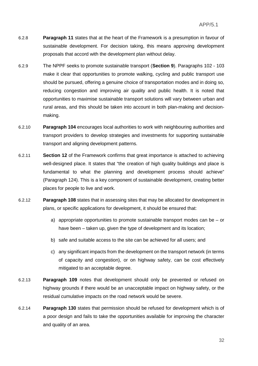- 6.2.8 **Paragraph 11** states that at the heart of the Framework is a presumption in favour of sustainable development. For decision taking, this means approving development proposals that accord with the development plan without delay.
- 6.2.9 The NPPF seeks to promote sustainable transport (**Section 9**). Paragraphs 102 103 make it clear that opportunities to promote walking, cycling and public transport use should be pursued, offering a genuine choice of transportation modes and in doing so, reducing congestion and improving air quality and public health. It is noted that opportunities to maximise sustainable transport solutions will vary between urban and rural areas, and this should be taken into account in both plan-making and decisionmaking.
- 6.2.10 **Paragraph 104** encourages local authorities to work with neighbouring authorities and transport providers to develop strategies and investments for supporting sustainable transport and aligning development patterns.
- 6.2.11 **Section 12** of the Framework confirms that great importance is attached to achieving well-designed place. It states that "the creation of high quality buildings and place is fundamental to what the planning and development process should achieve" (Paragraph 124). This is a key component of sustainable development, creating better places for people to live and work.
- 6.2.12 **Paragraph 108** states that in assessing sites that may be allocated for development in plans, or specific applications for development, it should be ensured that:
	- a) appropriate opportunities to promote sustainable transport modes can be or have been – taken up, given the type of development and its location;
	- b) safe and suitable access to the site can be achieved for all users; and
	- c) any significant impacts from the development on the transport network (in terms of capacity and congestion), or on highway safety, can be cost effectively mitigated to an acceptable degree.
- 6.2.13 **Paragraph 109** notes that development should only be prevented or refused on highway grounds if there would be an unacceptable impact on highway safety, or the residual cumulative impacts on the road network would be severe.
- 6.2.14 **Paragraph 130** states that permission should be refused for development which is of a poor design and fails to take the opportunities available for improving the character and quality of an area.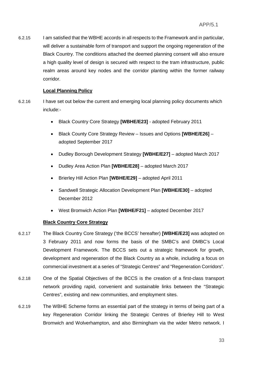6.2.15 I am satisfied that the WBHE accords in all respects to the Framework and in particular, will deliver a sustainable form of transport and support the ongoing regeneration of the Black Country. The conditions attached the deemed planning consent will also ensure a high quality level of design is secured with respect to the tram infrastructure, public realm areas around key nodes and the corridor planting within the former railway corridor.

#### **Local Planning Policy**

- 6.2.16 I have set out below the current and emerging local planning policy documents which include:-
	- Black Country Core Strategy **[WBHE/E23]** adopted February 2011
	- Black County Core Strategy Review Issues and Options **[WBHE/E26]** adopted September 2017
	- Dudley Borough Development Strategy **[WBHE/E27]** adopted March 2017
	- Dudley Area Action Plan **[WBHE/E28]** adopted March 2017
	- Brierley Hill Action Plan **[WBHE/E29]** adopted April 2011
	- Sandwell Strategic Allocation Development Plan **[WBHE/E30]** adopted December 2012
	- West Bromwich Action Plan **[WBHE/F21]** adopted December 2017

#### **Black Country Core Strategy**

- 6.2.17 The Black Country Core Strategy ('the BCCS' hereafter) **[WBHE/E23]** was adopted on 3 February 2011 and now forms the basis of the SMBC's and DMBC's Local Development Framework. The BCCS sets out a strategic framework for growth, development and regeneration of the Black Country as a whole, including a focus on commercial investment at a series of "Strategic Centres" and "Regeneration Corridors".
- 6.2.18 One of the Spatial Objectives of the BCCS is the creation of a first-class transport network providing rapid, convenient and sustainable links between the "Strategic Centres", existing and new communities, and employment sites.
- 6.2.19 The WBHE Scheme forms an essential part of the strategy in terms of being part of a key Regeneration Corridor linking the Strategic Centres of Brierley Hill to West Bromwich and Wolverhampton, and also Birmingham via the wider Metro network. I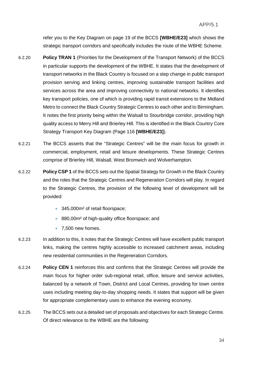refer you to the Key Diagram on page 19 of the BCCS **[WBHE/E23]** which shows the strategic transport corridors and specifically includes the route of the WBHE Scheme.

- 6.2.20 **Policy TRAN 1** (Priorities for the Development of the Transport Network) of the BCCS in particular supports the development of the WBHE. It states that the development of transport networks in the Black Country is focused on a step change in public transport provision serving and linking centres, improving sustainable transport facilities and services across the area and improving connectivity to national networks. It identifies key transport policies, one of which is providing rapid transit extensions to the Midland Metro to connect the Black Country Strategic Centres to each other and to Birmingham. It notes the first priority being within the Walsall to Stourbridge corridor, providing high quality access to Merry Hill and Brierley Hill. This is identified in the Black Country Core Strategy Transport Key Diagram (Page 116 **[WBHE/E23]**).
- 6.2.21 The BCCS asserts that the "Strategic Centres" will be the main focus for growth in commercial, employment, retail and leisure developments. These Strategic Centres comprise of Brierley Hill, Walsall, West Bromwich and Wolverhampton.
- 6.2.22 **Policy CSP 1** of the BCCS sets out the Spatial Strategy for Growth in the Black Country and the roles that the Strategic Centres and Regeneration Corridors will play. In regard to the Strategic Centres, the provision of the following level of development will be provided:
	- 345,000m<sup>2</sup> of retail floorspace;
	- 880,00m<sup>2</sup> of high-quality office floorspace; and
	- 7,500 new homes.
- 6.2.23 In addition to this, it notes that the Strategic Centres will have excellent public transport links, making the centres highly accessible to increased catchment areas, including new residential communities in the Regeneration Corridors.
- 6.2.24 **Policy CEN 1** reinforces this and confirms that the Strategic Centres will provide the main focus for higher order sub-regional retail, office, leisure and service activities, balanced by a network of Town, District and Local Centres, providing for town centre uses including meeting day-to-day shopping needs. It states that support will be given for appropriate complementary uses to enhance the evening economy.
- 6.2.25 The BCCS sets out a detailed set of proposals and objectives for each Strategic Centre. Of direct relevance to the WBHE are the following: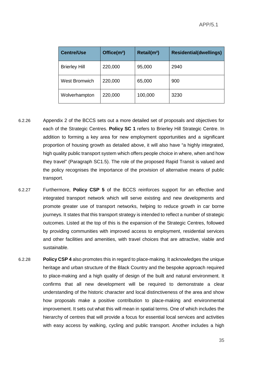| <b>Centre/Use</b>    | Office(m <sup>2</sup> ) | Retail(m <sup>2</sup> ) | <b>Residential(dwellings)</b> |
|----------------------|-------------------------|-------------------------|-------------------------------|
| <b>Brierley Hill</b> | 220,000                 | 95,000                  | 2940                          |
| <b>West Bromwich</b> | 220,000                 | 65,000                  | 900                           |
| Wolverhampton        | 220,000                 | 100,000                 | 3230                          |

- 6.2.26 Appendix 2 of the BCCS sets out a more detailed set of proposals and objectives for each of the Strategic Centres. **Policy SC 1** refers to Brierley Hill Strategic Centre. In addition to forming a key area for new employment opportunities and a significant proportion of housing growth as detailed above, it will also have "a highly integrated, high quality public transport system which offers people choice in where, when and how they travel" (Paragraph SC1.5). The role of the proposed Rapid Transit is valued and the policy recognises the importance of the provision of alternative means of public transport.
- 6.2.27 Furthermore, **Policy CSP 5** of the BCCS reinforces support for an effective and integrated transport network which will serve existing and new developments and promote greater use of transport networks, helping to reduce growth in car borne journeys. It states that this transport strategy is intended to reflect a number of strategic outcomes. Listed at the top of this is the expansion of the Strategic Centres, followed by providing communities with improved access to employment, residential services and other facilities and amenities, with travel choices that are attractive, viable and sustainable.
- 6.2.28 **Policy CSP 4** also promotes this in regard to place-making. It acknowledges the unique heritage and urban structure of the Black Country and the bespoke approach required to place-making and a high quality of design of the built and natural environment. It confirms that all new development will be required to demonstrate a clear understanding of the historic character and local distinctiveness of the area and show how proposals make a positive contribution to place-making and environmental improvement. It sets out what this will mean in spatial terms. One of which includes the hierarchy of centres that will provide a focus for essential local services and activities with easy access by walking, cycling and public transport. Another includes a high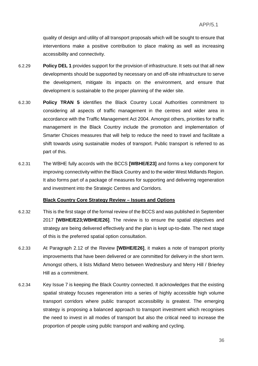quality of design and utility of all transport proposals which will be sought to ensure that interventions make a positive contribution to place making as well as increasing accessibility and connectivity.

- 6.2.29 **Policy DEL 1** provides support for the provision of infrastructure. It sets out that all new developments should be supported by necessary on and off-site infrastructure to serve the development, mitigate its impacts on the environment, and ensure that development is sustainable to the proper planning of the wider site.
- 6.2.30 **Policy TRAN 5** identifies the Black Country Local Authorities commitment to considering all aspects of traffic management in the centres and wider area in accordance with the Traffic Management Act 2004. Amongst others, priorities for traffic management in the Black Country include the promotion and implementation of Smarter Choices measures that will help to reduce the need to travel and facilitate a shift towards using sustainable modes of transport. Public transport is referred to as part of this.
- 6.2.31 The WBHE fully accords with the BCCS **[WBHE/E23]** and forms a key component for improving connectivity within the Black Country and to the wider West Midlands Region. It also forms part of a package of measures for supporting and delivering regeneration and investment into the Strategic Centres and Corridors.

#### **Black Country Core Strategy Review – Issues and Options**

- 6.2.32 This is the first stage of the formal review of the BCCS and was published in September 2017 **[WBHE/E23;WBHE/E26]**. The review is to ensure the spatial objectives and strategy are being delivered effectively and the plan is kept up-to-date. The next stage of this is the preferred spatial option consultation.
- 6.2.33 At Paragraph 2.12 of the Review **[WBHE/E26]**, it makes a note of transport priority improvements that have been delivered or are committed for delivery in the short term. Amongst others, it lists Midland Metro between Wednesbury and Merry Hill / Brierley Hill as a commitment.
- 6.2.34 Key Issue 7 is keeping the Black Country connected. It acknowledges that the existing spatial strategy focuses regeneration into a series of highly accessible high volume transport corridors where public transport accessibility is greatest. The emerging strategy is proposing a balanced approach to transport investment which recognises the need to invest in all modes of transport but also the critical need to increase the proportion of people using public transport and walking and cycling.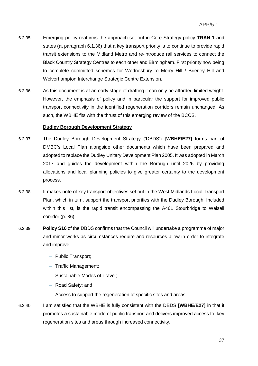- 6.2.35 Emerging policy reaffirms the approach set out in Core Strategy policy **TRAN 1** and states (at paragraph 6.1.36) that a key transport priority is to continue to provide rapid transit extensions to the Midland Metro and re-introduce rail services to connect the Black Country Strategy Centres to each other and Birmingham. First priority now being to complete committed schemes for Wednesbury to Merry Hill / Brierley Hill and Wolverhampton Interchange Strategic Centre Extension.
- 6.2.36 As this document is at an early stage of drafting it can only be afforded limited weight. However, the emphasis of policy and in particular the support for improved public transport connectivity in the identified regeneration corridors remain unchanged. As such, the WBHE fits with the thrust of this emerging review of the BCCS.

#### **Dudley Borough Development Strategy**

- 6.2.37 The Dudley Borough Development Strategy ('DBDS') **[WBHE/E27]** forms part of DMBC's Local Plan alongside other documents which have been prepared and adopted to replace the Dudley Unitary Development Plan 2005. It was adopted in March 2017 and guides the development within the Borough until 2026 by providing allocations and local planning policies to give greater certainty to the development process.
- 6.2.38 It makes note of key transport objectives set out in the West Midlands Local Transport Plan, which in turn, support the transport priorities with the Dudley Borough. Included within this list, is the rapid transit encompassing the A461 Stourbridge to Walsall corridor (p. 36).
- 6.2.39 **Policy S16** of the DBDS confirms that the Council will undertake a programme of major and minor works as circumstances require and resources allow in order to integrate and improve:
	- Public Transport;
	- Traffic Management;
	- Sustainable Modes of Travel;
	- Road Safety; and
	- Access to support the regeneration of specific sites and areas.
- 6.2.40 I am satisfied that the WBHE is fully consistent with the DBDS **[WBHE/E27]** in that it promotes a sustainable mode of public transport and delivers improved access to key regeneration sites and areas through increased connectivity.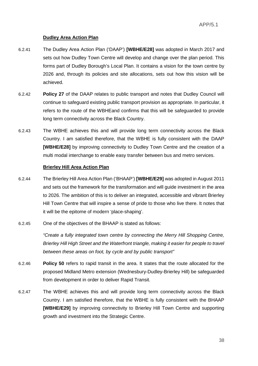#### **Dudley Area Action Plan**

- 6.2.41 The Dudley Area Action Plan ('DAAP') **[WBHE/E28]** was adopted in March 2017 and sets out how Dudley Town Centre will develop and change over the plan period. This forms part of Dudley Borough's Local Plan. It contains a vision for the town centre by 2026 and, through its policies and site allocations, sets out how this vision will be achieved.
- 6.2.42 **Policy 27** of the DAAP relates to public transport and notes that Dudley Council will continue to safeguard existing public transport provision as appropriate. In particular, it refers to the route of the WBHEand confirms that this will be safeguarded to provide long term connectivity across the Black Country.
- 6.2.43 The WBHE achieves this and will provide long term connectivity across the Black Country. I am satisfied therefore, that the WBHE is fully consistent with the DAAP **[WBHE/E28]** by improving connectivity to Dudley Town Centre and the creation of a multi modal interchange to enable easy transfer between bus and metro services.

#### **Brierley Hill Area Action Plan**

- 6.2.44 The Brierley Hill Area Action Plan ('BHAAP') **[WBHE/E29]** was adopted in August 2011 and sets out the framework for the transformation and will guide investment in the area to 2026. The ambition of this is to deliver an integrated, accessible and vibrant Brierley Hill Town Centre that will inspire a sense of pride to those who live there. It notes that it will be the epitome of modern 'place-shaping'.
- 6.2.45 One of the objectives of the BHAAP is stated as follows:

*"Create a fully integrated town centre by connecting the Merry Hill Shopping Centre, Brierley Hill High Street and the Waterfront triangle, making it easier for people to travel between these areas on foot, by cycle and by public transport"*

- 6.2.46 **Policy 50** refers to rapid transit in the area. It states that the route allocated for the proposed Midland Metro extension (Wednesbury-Dudley-Brierley Hill) be safeguarded from development in order to deliver Rapid Transit.
- 6.2.47 The WBHE achieves this and will provide long term connectivity across the Black Country. I am satisfied therefore, that the WBHE is fully consistent with the BHAAP **[WBHE/E29]** by improving connectivity to Brierley Hill Town Centre and supporting growth and investment into the Strategic Centre.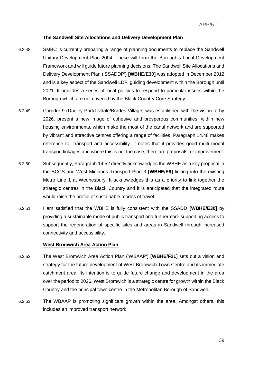#### **The Sandwell Site Allocations and Delivery Development Plan**

- 6.2.48 SMBC is currently preparing a range of planning documents to replace the Sandwell Unitary Development Plan 2004. These will form the Borough's Local Development Framework and will guide future planning decisions. The Sandwell Site Allocations and Delivery Development Plan ('SSADDP') **[WBHE/E30]** was adopted in December 2012 and is a key aspect of the Sandwell LDF, guiding development within the Borough until 2021. It provides a series of local policies to respond to particular issues within the Borough which are not covered by the Black Country Core Strategy.
- 6.2.49 Corridor 9 (Dudley Port/Tivdale/Brades Village) was established with the vision to by 2026, present a new image of cohesive and prosperous communities, within new housing environments, which make the most of the canal network and are supported by vibrant and attractive centres offering a range of facilities. Paragraph 14.48 makes reference to transport and accessibility. It notes that it provides good multi modal transport linkages and where this is not the case, there are proposals for improvement.
- 6.2.50 Subsequently, Paragraph 14.52 directly acknowledges the WBHE as a key proposal in the BCCS and West Midlands Transport Plan 3 **[WBHE/E9]** linking into the existing Metro Line 1 at Wednesbury. It acknowledges this as a priority to link together the strategic centres in the Black Country and it is anticipated that the integrated route would raise the profile of sustainable modes of travel.
- 6.2.51 I am satisfied that the WBHE is fully consistent with the SSADD **[WBHE/E30]** by providing a sustainable mode of public transport and furthermore supporting access to support the regeneration of specific sites and areas in Sandwell through increased connectivity and accessibility.

#### **West Bromwich Area Action Plan**

- 6.2.52 The West Bromwich Area Action Plan ('WBAAP') **[WBHE/F21]** sets out a vision and strategy for the future development of West Bromwich Town Centre and its immediate catchment area. Its intention is to guide future change and development in the area over the period to 2026. West Bromwich is a strategic centre for growth within the Black Country and the principal town centre in the Metropolitan Borough of Sandwell.
- 6.2.53 The WBAAP is promoting significant growth within the area. Amongst others, this includes an improved transport network.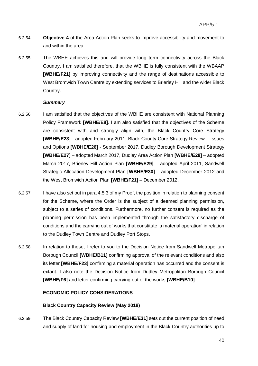- 6.2.54 **Objective 4** of the Area Action Plan seeks to improve accessibility and movement to and within the area.
- 6.2.55 The WBHE achieves this and will provide long term connectivity across the Black Country. I am satisfied therefore, that the WBHE is fully consistent with the WBAAP **[WBHE/F21]** by improving connectivity and the range of destinations accessible to West Bromwich Town Centre by extending services to Brierley Hill and the wider Black Country.

#### *Summary*

- 6.2.56 I am satisfied that the objectives of the WBHE are consistent with National Planning Policy Framework **[WBHE/E8]**. I am also satisfied that the objectives of the Scheme are consistent with and strongly align with, the Black Country Core Strategy **[WBHE/E23]** - adopted February 2011, Black County Core Strategy Review – Issues and Options **[WBHE/E26]** - September 2017, Dudley Borough Development Strategy **[WBHE/E27]** – adopted March 2017, Dudley Area Action Plan **[WBHE/E28]** – adopted March 2017, Brierley Hill Action Plan **[WBHE/E29]** – adopted April 2011, Sandwell Strategic Allocation Development Plan **[WBHE/E30]** – adopted December 2012 and the West Bromwich Action Plan **[WBHE/F21]** – December 2012.
- 6.2.57 I have also set out in para 4.5.3 of my Proof, the position in relation to planning consent for the Scheme, where the Order is the subject of a deemed planning permission, subject to a series of conditions. Furthermore, no further consent is required as the planning permission has been implemented through the satisfactory discharge of conditions and the carrying out of works that constitute 'a material operation' in relation to the Dudley Town Centre and Dudley Port Stops.
- 6.2.58 In relation to these, I refer to you to the Decision Notice from Sandwell Metropolitan Borough Council **[WBHE/B11]** confirming approval of the relevant conditions and also its letter **[WBHE/F23]** confirming a material operation has occurred and the consent is extant. I also note the Decision Notice from Dudley Metropolitan Borough Council **[WBHE/F6]** and letter confirming carrying out of the works **[WBHE/B10]**.

#### **ECONOMIC POLICY CONSIDERATIONS**

#### **Black Country Capacity Review (May 2018)**

6.2.59 The Black Country Capacity Review **[WBHE/E31]** sets out the current position of need and supply of land for housing and employment in the Black Country authorities up to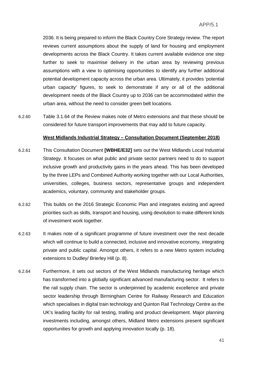2036. It is being prepared to inform the Black Country Core Strategy review. The report reviews current assumptions about the supply of land for housing and employment developments across the Black Country. It takes current available evidence one step further to seek to maximise delivery in the urban area by reviewing previous assumptions with a view to optimising opportunities to identify any further additional potential development capacity across the urban area. Ultimately, it provides 'potential urban capacity' figures, to seek to demonstrate if any or all of the additional development needs of the Black Country up to 2036 can be accommodated within the urban area, without the need to consider green belt locations.

6.2.60 Table 3.1.64 of the Review makes note of Metro extensions and that these should be considered for future transport improvements that may add to future capacity.

#### **West Midlands Industrial Strategy – Consultation Document (September 2018)**

- 6.2.61 This Consultation Document **[WBHE/E32]** sets out the West Midlands Local Industrial Strategy. It focuses on what public and private sector partners need to do to support inclusive growth and productivity gains in the years ahead. This has been developed by the three LEPs and Combined Authority working together with our Local Authorities, universities, colleges, business sectors, representative groups and independent academics, voluntary, community and stakeholder groups.
- 6.2.62 This builds on the 2016 Strategic Economic Plan and integrates existing and agreed priorities such as skills, transport and housing, using devolution to make different kinds of investment work together.
- 6.2.63 It makes note of a significant programme of future investment over the next decade which will continue to build a connected, inclusive and innovative economy, integrating private and public capital. Amongst others, it refers to a new Metro system including extensions to Dudley/ Brierley Hill (p. 8).
- 6.2.64 Furthermore, it sets out sectors of the West Midlands manufacturing heritage which has transformed into a globally significant advanced manufacturing sector. It refers to the rail supply chain. The sector is underpinned by academic excellence and private sector leadership through Birmingham Centre for Railway Research and Education which specialises in digital train technology and Quinton Rail Technology Centre as the UK's leading facility for rail testing, trialling and product development. Major planning investments including, amongst others, Midland Metro extensions present significant opportunities for growth and applying innovation locally (p. 18).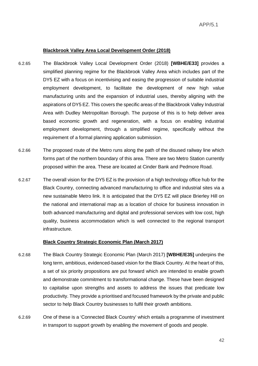#### **Blackbrook Valley Area Local Development Order (2018)**

- 6.2.65 The Blackbrook Valley Local Development Order (2018) **[WBHE/E33]** provides a simplified planning regime for the Blackbrook Valley Area which includes part of the DY5 EZ with a focus on incentivising and easing the progression of suitable industrial employment development, to facilitate the development of new high value manufacturing units and the expansion of industrial uses, thereby aligning with the aspirations of DY5 EZ. This covers the specific areas of the Blackbrook Valley Industrial Area with Dudley Metropolitan Borough. The purpose of this is to help deliver area based economic growth and regeneration, with a focus on enabling industrial employment development, through a simplified regime, specifically without the requirement of a formal planning application submission.
- 6.2.66 The proposed route of the Metro runs along the path of the disused railway line which forms part of the northern boundary of this area. There are two Metro Station currently proposed within the area. These are located at Cinder Bank and Pedmore Road.
- 6.2.67 The overall vision for the DY5 EZ is the provision of a high technology office hub for the Black Country, connecting advanced manufacturing to office and industrial sites via a new sustainable Metro link. It is anticipated that the DY5 EZ will place Brierley Hill on the national and international map as a location of choice for business innovation in both advanced manufacturing and digital and professional services with low cost, high quality, business accommodation which is well connected to the regional transport infrastructure.

#### **Black Country Strategic Economic Plan (March 2017)**

- 6.2.68 The Black Country Strategic Economic Plan (March 2017) **[WBHE/E35]** underpins the long term, ambitious, evidenced-based vision for the Black Country. At the heart of this, a set of six priority propositions are put forward which are intended to enable growth and demonstrate commitment to transformational change. These have been designed to capitalise upon strengths and assets to address the issues that predicate low productivity. They provide a prioritised and focused framework by the private and public sector to help Black Country businesses to fulfil their growth ambitions.
- 6.2.69 One of these is a 'Connected Black Country' which entails a programme of investment in transport to support growth by enabling the movement of goods and people.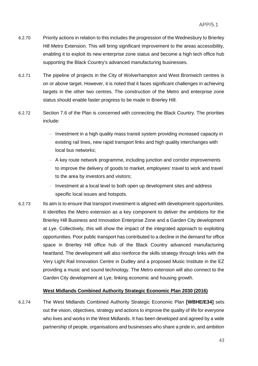- 6.2.70 Priority actions in relation to this includes the progression of the Wednesbury to Brierley Hill Metro Extension. This will bring significant improvement to the areas accessibility, enabling it to exploit its new enterprise zone status and become a high tech office hub supporting the Black Country's advanced manufacturing businesses.
- 6.2.71 The pipeline of projects in the City of Wolverhampton and West Bromwich centres is on or above target. However, it is noted that it faces significant challenges in achieving targets in the other two centres. The construction of the Metro and enterprise zone status should enable faster progress to be made in Brierley Hill.
- 6.2.72 Section 7.6 of the Plan is concerned with connecting the Black Country. The priorities include:
	- Investment in a high quality mass transit system providing increased capacity in existing rail lines, new rapid transport links and high quality interchanges with local bus networks;
	- A key route network programme, including junction and corridor improvements to improve the delivery of goods to market, employees' travel to work and travel to the area by investors and visitors;
	- Investment at a local level to both open up development sites and address specific local issues and hotspots.
- 6.2.73 Its aim is to ensure that transport investment is aligned with development opportunities. It identifies the Metro extension as a key component to deliver the ambitions for the Brierley Hill Business and Innovation Enterprise Zone and a Garden City development at Lye. Collectively, this will show the impact of the integrated approach to exploiting opportunities. Poor public transport has contributed to a decline in the demand for office space in Brierley Hill office hub of the Black Country advanced manufacturing heartland. The development will also reinforce the skills strategy through links with the Very Light Rail Innovation Centre in Dudley and a proposed Music Institute in the EZ providing a music and sound technology. The Metro extension will also connect to the Garden City development at Lye, linking economic and housing growth.

#### **West Midlands Combined Authority Strategic Economic Plan 2030 (2016)**

6.2.74 The West Midlands Combined Authority Strategic Economic Plan **[WBHE/E34]** sets out the vision, objectives, strategy and actions to improve the quality of life for everyone who lives and works in the West Midlands. It has been developed and agreed by a wide partnership of people, organisations and businesses who share a pride in, and ambition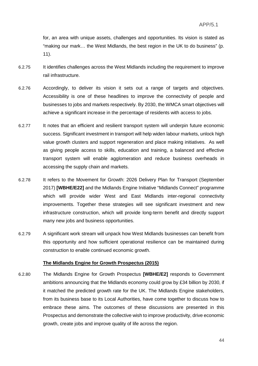for, an area with unique assets, challenges and opportunities. Its vision is stated as "making our mark… the West Midlands, the best region in the UK to do business" (p. 11).

- 6.2.75 It identifies challenges across the West Midlands including the requirement to improve rail infrastructure.
- 6.2.76 Accordingly, to deliver its vision it sets out a range of targets and objectives. Accessibility is one of these headlines to improve the connectivity of people and businesses to jobs and markets respectively. By 2030, the WMCA smart objectives will achieve a significant increase in the percentage of residents with access to jobs.
- 6.2.77 It notes that an efficient and resilient transport system will underpin future economic success. Significant investment in transport will help widen labour markets, unlock high value growth clusters and support regeneration and place making initiatives. As well as giving people access to skills, education and training, a balanced and effective transport system will enable agglomeration and reduce business overheads in accessing the supply chain and markets.
- 6.2.78 It refers to the Movement for Growth: 2026 Delivery Plan for Transport (September 2017) **[WBHE/E22]** and the Midlands Engine Initiative "Midlands Connect" programme which will provide wider West and East Midlands inter-regional connectivity improvements. Together these strategies will see significant investment and new infrastructure construction, which will provide long-term benefit and directly support many new jobs and business opportunities.
- 6.2.79 A significant work stream will unpack how West Midlands businesses can benefit from this opportunity and how sufficient operational resilience can be maintained during construction to enable continued economic growth.

#### **The Midlands Engine for Growth Prospectus (2015)**

6.2.80 The Midlands Engine for Growth Prospectus **[WBHE/E2]** responds to Government ambitions announcing that the Midlands economy could grow by £34 billion by 2030, if it matched the predicted growth rate for the UK. The Midlands Engine stakeholders, from its business base to its Local Authorities, have come together to discuss how to embrace these aims. The outcomes of these discussions are presented in this Prospectus and demonstrate the collective wish to improve productivity, drive economic growth, create jobs and improve quality of life across the region.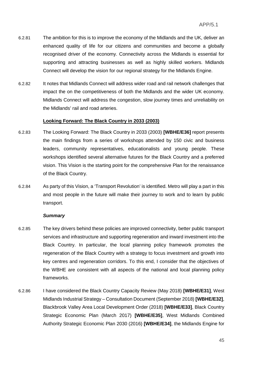- 6.2.81 The ambition for this is to improve the economy of the Midlands and the UK, deliver an enhanced quality of life for our citizens and communities and become a globally recognised driver of the economy. Connectivity across the Midlands is essential for supporting and attracting businesses as well as highly skilled workers. Midlands Connect will develop the vision for our regional strategy for the Midlands Engine.
- 6.2.82 It notes that Midlands Connect will address wider road and rail network challenges that impact the on the competitiveness of both the Midlands and the wider UK economy. Midlands Connect will address the congestion, slow journey times and unreliability on the Midlands' rail and road arteries.

#### **Looking Forward: The Black Country in 2033 (2003)**

- 6.2.83 The Looking Forward: The Black Country in 2033 (2003) **[WBHE/E36]** report presents the main findings from a series of workshops attended by 150 civic and business leaders, community representatives, educationalists and young people. These workshops identified several alternative futures for the Black Country and a preferred vision. This Vision is the starting point for the comprehensive Plan for the renaissance of the Black Country.
- 6.2.84 As party of this Vision, a 'Transport Revolution' is identified. Metro will play a part in this and most people in the future will make their journey to work and to learn by public transport.

#### *Summary*

- 6.2.85 The key drivers behind these policies are improved connectivity, better public transport services and infrastructure and supporting regeneration and inward investment into the Black Country. In particular, the local planning policy framework promotes the regeneration of the Black Country with a strategy to focus investment and growth into key centres and regeneration corridors. To this end, I consider that the objectives of the WBHE are consistent with all aspects of the national and local planning policy frameworks.
- 6.2.86 I have considered the Black Country Capacity Review (May 2018) **[WBHE/E31]**, West Midlands Industrial Strategy – Consultation Document (September 2018) **[WBHE/E32]**, Blackbrook Valley Area Local Development Order (2018) **[WBHE/E33]**, Black Country Strategic Economic Plan (March 2017) **[WBHE/E35]**, West Midlands Combined Authority Strategic Economic Plan 2030 (2016) **[WBHE/E34]**, the Midlands Engine for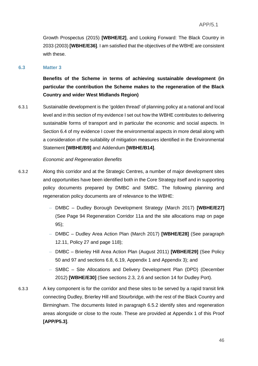Growth Prospectus (2015) **[WBHE/E2]**, and Looking Forward: The Black Country in 2033 (2003) **[WBHE/E36]**. I am satisfied that the objectives of the WBHE are consistent with these.

#### **6.3 Matter 3**

**Benefits of the Scheme in terms of achieving sustainable development (in particular the contribution the Scheme makes to the regeneration of the Black Country and wider West Midlands Region)**

6.3.1 Sustainable development is the 'golden thread' of planning policy at a national and local level and in this section of my evidence I set out how the WBHE contributes to delivering sustainable forms of transport and in particular the economic and social aspects. In Section 6.4 of my evidence I cover the environmental aspects in more detail along with a consideration of the suitability of mitigation measures identified in the Environmental Statement **[WBHE/B9]** and Addendum **[WBHE/B14]**.

#### *Economic and Regeneration Benefits*

- 6.3.2 Along this corridor and at the Strategic Centres, a number of major development sites and opportunities have been identified both in the Core Strategy itself and in supporting policy documents prepared by DMBC and SMBC. The following planning and regeneration policy documents are of relevance to the WBHE:
	- DMBC Dudley Borough Development Strategy (March 2017) **[WBHE/E27]** (See Page 94 Regeneration Corridor 11a and the site allocations map on page 95);
	- DMBC Dudley Area Action Plan (March 2017) **[WBHE/E28]** (See paragraph 12.11, Policy 27 and page 118);
	- DMBC Brierley Hill Area Action Plan (August 2011) **[WBHE/E29]** (See Policy 50 and 97 and sections 6.8, 6.19, Appendix 1 and Appendix 3); and
	- SMBC Site Allocations and Delivery Development Plan (DPD) (December 2012) **[WBHE/E30]** (See sections 2.3, 2.6 and section 14 for Dudley Port).
- 6.3.3 A key component is for the corridor and these sites to be served by a rapid transit link connecting Dudley, Brierley Hill and Stourbridge, with the rest of the Black Country and Birmingham. The documents listed in paragraph 6.5.2 identify sites and regeneration areas alongside or close to the route. These are provided at Appendix 1 of this Proof **[APP/P5.3]**.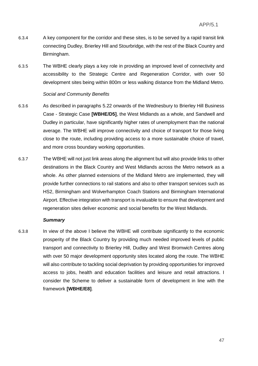- 6.3.4 A key component for the corridor and these sites, is to be served by a rapid transit link connecting Dudley, Brierley Hill and Stourbridge, with the rest of the Black Country and Birmingham.
- 6.3.5 The WBHE clearly plays a key role in providing an improved level of connectivity and accessibility to the Strategic Centre and Regeneration Corridor, with over 50 development sites being within 800m or less walking distance from the Midland Metro.

#### *Social and Community Benefits*

- 6.3.6 As described in paragraphs 5.22 onwards of the Wednesbury to Brierley Hill Business Case - Strategic Case **[WBHE/D5]**, the West Midlands as a whole, and Sandwell and Dudley in particular, have significantly higher rates of unemployment than the national average. The WBHE will improve connectivity and choice of transport for those living close to the route, including providing access to a more sustainable choice of travel, and more cross boundary working opportunities.
- 6.3.7 The WBHE will not just link areas along the alignment but will also provide links to other destinations in the Black Country and West Midlands across the Metro network as a whole. As other planned extensions of the Midland Metro are implemented, they will provide further connections to rail stations and also to other transport services such as HS2, Birmingham and Wolverhampton Coach Stations and Birmingham International Airport. Effective integration with transport is invaluable to ensure that development and regeneration sites deliver economic and social benefits for the West Midlands.

#### *Summary*

6.3.8 In view of the above I believe the WBHE will contribute significantly to the economic prosperity of the Black Country by providing much needed improved levels of public transport and connectivity to Brierley Hill, Dudley and West Bromwich Centres along with over 50 major development opportunity sites located along the route. The WBHE will also contribute to tackling social deprivation by providing opportunities for improved access to jobs, health and education facilities and leisure and retail attractions. I consider the Scheme to deliver a sustainable form of development in line with the framework **[WBHE/E8]**.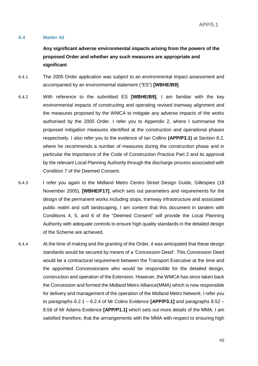#### **6.4 Matter 4d**

**Any significant adverse environmental impacts arising from the powers of the proposed Order and whether any such measures are appropriate and significant**

- 6.4.1 The 2005 Order application was subject to an environmental impact assessment and accompanied by an environmental statement ("ES") **[WBHE/B9]**.
- 6.4.2 With reference to the submitted ES **[WBHE/B9]**, I am familiar with the key environmental impacts of constructing and operating revised tramway alignment and the measures proposed by the WMCA to mitigate any adverse impacts of the works authorised by the 2005 Order. I refer you to Appendix 2, where I summarise the proposed mitigation measures identified at the construction and operational phases respectively. I also refer you to the evidence of Ian Collins **(APP/P3.1)** at Section 8.2, where he recommends a number of measures during the construction phase and in particular the importance of the Code of Construction Practice Part 2 and its approval by the relevant Local Planning Authority through the discharge process associated with Condition 7 of the Deemed Consent.
- 6.4.3 I refer you again to the Midland Metro Centro Street Design Guide, Gillespies (18 November 2005), **[WBHE/F17]**, which sets out parameters and requirements for the design of the permanent works including stops, tramway infrastructure and associated public realm and soft landscaping. I am content that this document in tandem with Conditions 4, 5, and 6 of the "Deemed Consent" will provide the Local Planning Authority with adequate controls to ensure high quality standards in the detailed design of the Scheme are achieved.
- 6.4.4 At the time of making and the granting of the Order, it was anticipated that these design standards would be secured by means of a 'Concession Deed'. This Concession Deed would be a contractural requirement between the Transport Executive at the time and the appointed Concessionaire who would be responsible for the detailed design, construction and operation of the Extension. However, the WMCA has since taken back the Concession and formed the Midland Metro Alliance(MMA) which is now responsible for delivery and management of the operation of the Midland Metro Network. I refer you to paragraphs 6.2.1 – 6.2.4 of Mr Colins Evidence **[APP/P3.1]** and paragraphs 8.52 – 8.56 of Mr Adams Evidence **[APP/P1.1]** which sets out more details of the MMA. I am satisfied therefore, that the arrrangements with the MMA with respect to ensuring high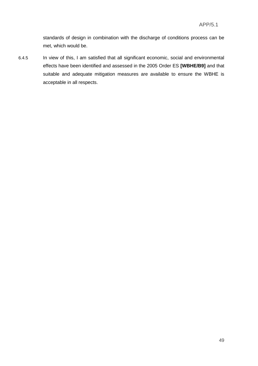standards of design in combination with the discharge of conditions process can be met, which would be.

6.4.5 In view of this, I am satisfied that all significant economic, social and environmental effects have been identified and assessed in the 2005 Order ES **[WBHE/B9]** and that suitable and adequate mitigation measures are available to ensure the WBHE is acceptable in all respects.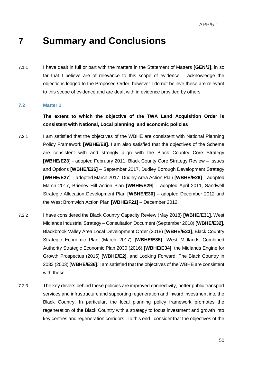# **7 Summary and Conclusions**

7.1.1 I have dealt in full or part with the matters in the Statement of Matters **[GEN/3]**, in so far that I believe are of relevance to this scope of evidence. I acknowledge the objections lodged to the Proposed Order, however I do not believe these are relevant to this scope of evidence and are dealt with in evidence provided by others.

#### **7.2 Matter 1**

### **The extent to which the objective of the TWA Land Acquisition Order is consistent with National, Local planning and economic policies**

- 7.2.1 I am satisfied that the objectives of the WBHE are consistent with National Planning Policy Framework **[WBHE/E8]**. I am also satisfied that the objectives of the Scheme are consistent with and strongly align with the Black Country Core Strategy **[WBHE/E23]** - adopted February 2011, Black County Core Strategy Review – Issues and Options **[WBHE/E26]** – September 2017, Dudley Borough Development Strategy **[WBHE/E27]** – adopted March 2017, Dudley Area Action Plan **[WBHE/E28]** – adopted March 2017, Brierley Hill Action Plan **[WBHE/E29]** – adopted April 2011, Sandwell Strategic Allocation Development Plan **[WBHE/E30]** – adopted December 2012 and the West Bromwich Action Plan **[WBHE/F21]** – December 2012.
- 7.2.2 I have considered the Black Country Capacity Review (May 2018) **[WBHE/E31]**, West Midlands Industrial Strategy – Consultation Document (September 2018) **[WBHE/E32]**, Blackbrook Valley Area Local Development Order (2018) **[WBHE/E33]**, Black Country Strategic Economic Plan (March 2017) **[WBHE/E35]**, West Midlands Combined Authority Strategic Economic Plan 2030 (2016) **[WBHE/E34]**, the Midlands Engine for Growth Prospectus (2015) **[WBHE/E2]**, and Looking Forward: The Black Country in 2033 (2003) **[WBHE/E36]**. I am satisfied that the objectives of the WBHE are consistent with these.
- 7.2.3 The key drivers behind these policies are improved connectivity, better public transport services and infrastructure and supporting regeneration and inward investment into the Black Country. In particular, the local planning policy framework promotes the regeneration of the Black Country with a strategy to focus investment and growth into key centres and regeneration corridors. To this end I consider that the objectives of the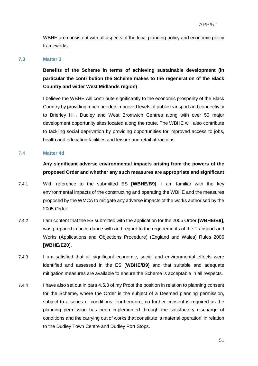WBHE are consistent with all aspects of the local planning policy and economic policy frameworks.

#### **7.3 Matter 3**

**Benefits of the Scheme in terms of achieving sustainable development (in particular the contribution the Scheme makes to the regeneration of the Black Country and wider West Midlands region)**

I believe the WBHE will contribute significantly to the economic prosperity of the Black Country by providing much needed improved levels of public transport and connectivity to Brierley Hill, Dudley and West Bromwich Centres along with over 50 major development opportunity sites located along the route. The WBHE will also contribute to tackling social deprivation by providing opportunities for improved access to jobs, health and education facilities and leisure and retail attractions.

#### **7.4 Matter 4d**

**Any significant adverse environmental impacts arising from the powers of the proposed Order and whether any such measures are appropriate and significant**

- 7.4.1 With reference to the submitted ES **[WBHE/B9]**, I am familiar with the key environmental impacts of the constructing and operating the WBHE and the measures proposed by the WMCA to mitigate any adverse impacts of the works authorised by the 2005 Order.
- 7.4.2 I am content that the ES submitted with the application for the 2005 Order **[WBHE/B9]**, was prepared in accordance with and regard to the requirements of the Transport and Works (Applications and Objections Procedure) (England and Wales) Rules 2006 **[WBHE/E20]**.
- 7.4.3 I am satisfied that all significant economic, social and environmental effects were identified and assessed in the ES **[WBHE/B9]** and that suitable and adequate mitigation measures are available to ensure the Scheme is acceptable in all respects.
- 7.4.4 I have also set out in para 4.5.3 of my Proof the position in relation to planning consent for the Scheme, where the Order is the subject of a Deemed planning permission, subject to a series of conditions. Furthermore, no further consent is required as the planning permission has been implemented through the satisfactory discharge of conditions and the carrying out of works that constitute 'a material operation' in relation to the Dudley Town Centre and Dudley Port Stops.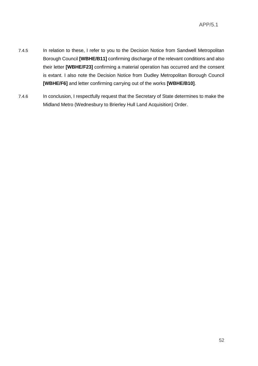- 7.4.5 In relation to these, I refer to you to the Decision Notice from Sandwell Metropolitan Borough Council **[WBHE/B11]** confirming discharge of the relevant conditions and also their letter **[WBHE/F23]** confirming a material operation has occurred and the consent is extant. I also note the Decision Notice from Dudley Metropolitan Borough Council **[WBHE/F6]** and letter confirming carrying out of the works **[WBHE/B10]**.
- 7.4.6 In conclusion, I respectfully request that the Secretary of State determines to make the Midland Metro (Wednesbury to Brierley Hull Land Acquisition) Order.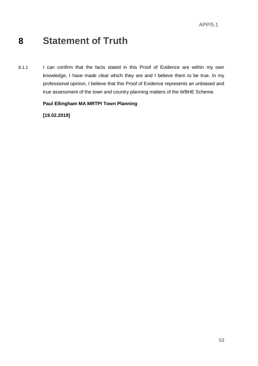# **8 Statement of Truth**

8.1.1 I can confirm that the facts stated in this Proof of Evidence are within my own knowledge, I have made clear which they are and I believe them to be true. In my professional opinion, I believe that this Proof of Evidence represents an unbiased and true assessment of the town and country planning matters of the WBHE Scheme.

### **Paul Ellingham MA MRTPI Town Planning**

**[19.02.2019]**